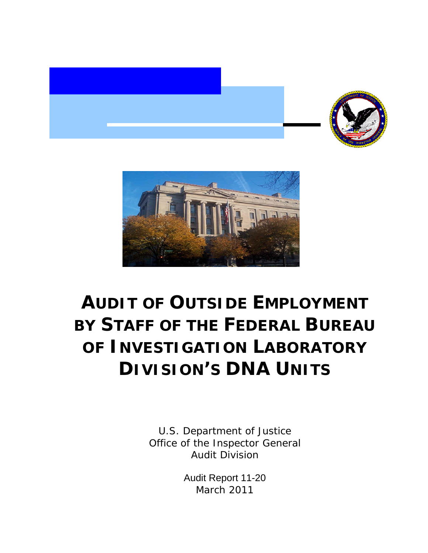



# **AUDIT OF OUTSIDE EMPLOYMENT BY STAFF OF THE FEDERAL BUREAU OF INVESTIGATION LABORATORY DIVISION'S DNA UNITS**

U.S. Department of Justice Office of the Inspector General Audit Division

> Audit Report 11-20 March 2011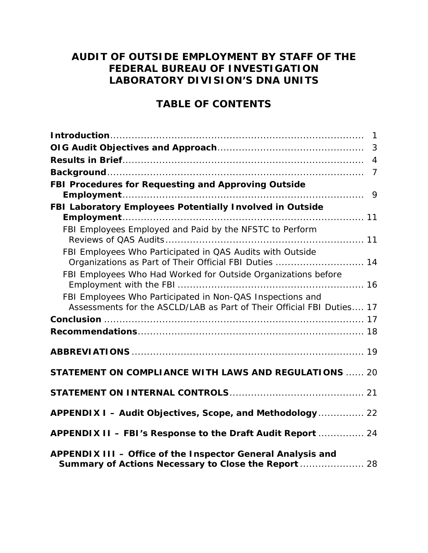# **AUDIT OF OUTSIDE EMPLOYMENT BY STAFF OF THE FEDERAL BUREAU OF INVESTIGATION LABORATORY DIVISION'S DNA UNITS**

### **TABLE OF CONTENTS**

|                                                                                                                                    | 3              |
|------------------------------------------------------------------------------------------------------------------------------------|----------------|
|                                                                                                                                    | $\overline{4}$ |
|                                                                                                                                    |                |
| FBI Procedures for Requesting and Approving Outside                                                                                | 9              |
| FBI Laboratory Employees Potentially Involved in Outside                                                                           |                |
|                                                                                                                                    |                |
| FBI Employees Employed and Paid by the NFSTC to Perform                                                                            |                |
| FBI Employees Who Participated in QAS Audits with Outside<br>Organizations as Part of Their Official FBI Duties  14                |                |
| FBI Employees Who Had Worked for Outside Organizations before                                                                      |                |
| FBI Employees Who Participated in Non-QAS Inspections and<br>Assessments for the ASCLD/LAB as Part of Their Official FBI Duties 17 |                |
|                                                                                                                                    |                |
|                                                                                                                                    |                |
|                                                                                                                                    |                |
| <b>STATEMENT ON COMPLIANCE WITH LAWS AND REGULATIONS  20</b>                                                                       |                |
|                                                                                                                                    |                |
| APPENDIX I - Audit Objectives, Scope, and Methodology 22                                                                           |                |
| APPENDIX II - FBI's Response to the Draft Audit Report  24                                                                         |                |
| APPENDIX III - Office of the Inspector General Analysis and<br>Summary of Actions Necessary to Close the Report  28                |                |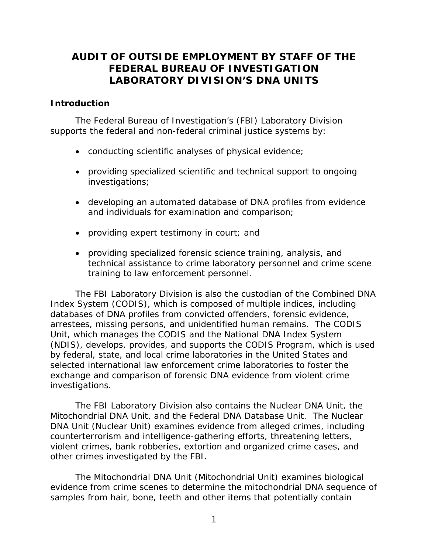## <span id="page-2-0"></span>**AUDIT OF OUTSIDE EMPLOYMENT BY STAFF OF THE FEDERAL BUREAU OF INVESTIGATION LABORATORY DIVISION'S DNA UNITS**

### **Introduction**

The Federal Bureau of Investigation's (FBI) Laboratory Division supports the federal and non-federal criminal justice systems by:

- conducting scientific analyses of physical evidence;
- providing specialized scientific and technical support to ongoing investigations;
- developing an automated database of DNA profiles from evidence and individuals for examination and comparison;
- providing expert testimony in court; and
- providing specialized forensic science training, analysis, and technical assistance to crime laboratory personnel and crime scene training to law enforcement personnel.

The FBI Laboratory Division is also the custodian of the Combined DNA Index System (CODIS), which is composed of multiple indices, including databases of DNA profiles from convicted offenders, forensic evidence, arrestees, missing persons, and unidentified human remains. The CODIS Unit, which manages the CODIS and the National DNA Index System (NDIS), develops, provides, and supports the CODIS Program, which is used by federal, state, and local crime laboratories in the United States and selected international law enforcement crime laboratories to foster the exchange and comparison of forensic DNA evidence from violent crime investigations.

The FBI Laboratory Division also contains the Nuclear DNA Unit, the Mitochondrial DNA Unit, and the Federal DNA Database Unit. The Nuclear DNA Unit (Nuclear Unit) examines evidence from alleged crimes, including counterterrorism and intelligence-gathering efforts, threatening letters, violent crimes, bank robberies, extortion and organized crime cases, and other crimes investigated by the FBI.

The Mitochondrial DNA Unit (Mitochondrial Unit) examines biological evidence from crime scenes to determine the mitochondrial DNA sequence of samples from hair, bone, teeth and other items that potentially contain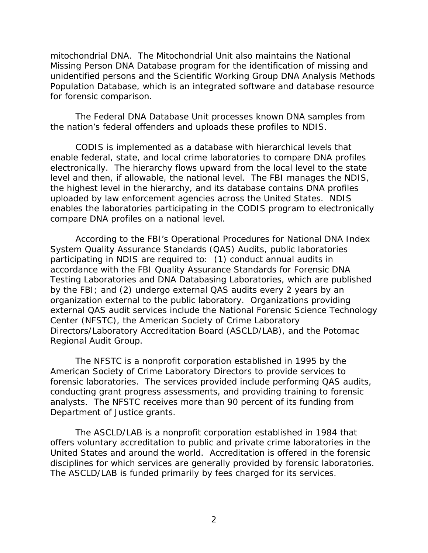mitochondrial DNA. The Mitochondrial Unit also maintains the National Missing Person DNA Database program for the identification of missing and unidentified persons and the Scientific Working Group DNA Analysis Methods Population Database, which is an integrated software and database resource for forensic comparison.

The Federal DNA Database Unit processes known DNA samples from the nation's federal offenders and uploads these profiles to NDIS.

CODIS is implemented as a database with hierarchical levels that enable federal, state, and local crime laboratories to compare DNA profiles electronically. The hierarchy flows upward from the local level to the state level and then, if allowable, the national level. The FBI manages the NDIS, the highest level in the hierarchy, and its database contains DNA profiles uploaded by law enforcement agencies across the United States. NDIS enables the laboratories participating in the CODIS program to electronically compare DNA profiles on a national level.

According to the FBI's Operational Procedures for National DNA Index System Quality Assurance Standards (QAS) Audits, public laboratories participating in NDIS are required to: (1) conduct annual audits in accordance with the FBI Quality Assurance Standards for Forensic DNA Testing Laboratories and DNA Databasing Laboratories, which are published by the FBI; and (2) undergo external QAS audits every 2 years by an organization external to the public laboratory. Organizations providing external QAS audit services include the National Forensic Science Technology Center (NFSTC), the American Society of Crime Laboratory Directors/Laboratory Accreditation Board (ASCLD/LAB), and the Potomac Regional Audit Group.

The NFSTC is a nonprofit corporation established in 1995 by the American Society of Crime Laboratory Directors to provide services to forensic laboratories. The services provided include performing QAS audits, conducting grant progress assessments, and providing training to forensic analysts. The NFSTC receives more than 90 percent of its funding from Department of Justice grants.

The ASCLD/LAB is a nonprofit corporation established in 1984 that offers voluntary accreditation to public and private crime laboratories in the United States and around the world. Accreditation is offered in the forensic disciplines for which services are generally provided by forensic laboratories. The ASCLD/LAB is funded primarily by fees charged for its services.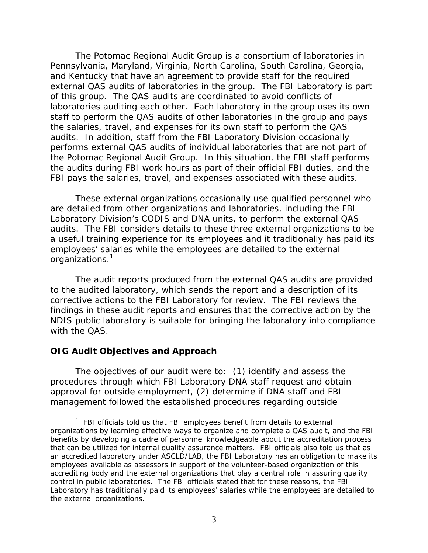<span id="page-4-0"></span>The Potomac Regional Audit Group is a consortium of laboratories in Pennsylvania, Maryland, Virginia, North Carolina, South Carolina, Georgia, and Kentucky that have an agreement to provide staff for the required external QAS audits of laboratories in the group. The FBI Laboratory is part of this group. The QAS audits are coordinated to avoid conflicts of laboratories auditing each other. Each laboratory in the group uses its own staff to perform the QAS audits of other laboratories in the group and pays the salaries, travel, and expenses for its own staff to perform the QAS audits. In addition, staff from the FBI Laboratory Division occasionally performs external QAS audits of individual laboratories that are not part of the Potomac Regional Audit Group. In this situation, the FBI staff performs the audits during FBI work hours as part of their official FBI duties, and the FBI pays the salaries, travel, and expenses associated with these audits.

These external organizations occasionally use qualified personnel who are detailed from other organizations and laboratories, including the FBI Laboratory Division's CODIS and DNA units, to perform the external QAS audits. The FBI considers details to these three external organizations to be a useful training experience for its employees and it traditionally has paid its employees' salaries while the employees are detailed to the external organizations.<sup>1</sup>

The audit reports produced from the external QAS audits are provided to the audited laboratory, which sends the report and a description of its corrective actions to the FBI Laboratory for review. The FBI reviews the findings in these audit reports and ensures that the corrective action by the NDIS public laboratory is suitable for bringing the laboratory into compliance with the QAS.

### **OIG Audit Objectives and Approach**

 $\overline{a}$ 

The objectives of our audit were to: (1) identify and assess the procedures through which FBI Laboratory DNA staff request and obtain approval for outside employment, (2) determine if DNA staff and FBI management followed the established procedures regarding outside

 that can be utilized for internal quality assurance matters. FBI officials also told us that as accrediting body and the external organizations that play a central role in assuring quality <sup>1</sup> FBI officials told us that FBI employees benefit from details to external organizations by learning effective ways to organize and complete a QAS audit, and the FBI benefits by developing a cadre of personnel knowledgeable about the accreditation process an accredited laboratory under ASCLD/LAB, the FBI Laboratory has an obligation to make its employees available as assessors in support of the volunteer-based organization of this control in public laboratories. The FBI officials stated that for these reasons, the FBI Laboratory has traditionally paid its employees' salaries while the employees are detailed to the external organizations.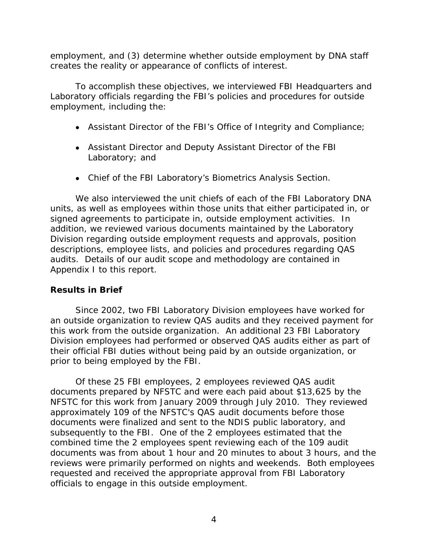<span id="page-5-0"></span>employment, and (3) determine whether outside employment by DNA staff creates the reality or appearance of conflicts of interest.

To accomplish these objectives, we interviewed FBI Headquarters and Laboratory officials regarding the FBI's policies and procedures for outside employment, including the:

- Assistant Director of the FBI's Office of Integrity and Compliance;
- Assistant Director and Deputy Assistant Director of the FBI Laboratory; and
- Chief of the FBI Laboratory's Biometrics Analysis Section.

We also interviewed the unit chiefs of each of the FBI Laboratory DNA units, as well as employees within those units that either participated in, or signed agreements to participate in, outside employment activities. In addition, we reviewed various documents maintained by the Laboratory Division regarding outside employment requests and approvals, position descriptions, employee lists, and policies and procedures regarding QAS audits. Details of our audit scope and methodology are contained in Appendix I to this report.

### **Results in Brief**

Since 2002, two FBI Laboratory Division employees have worked for an outside organization to review QAS audits and they received payment for this work from the outside organization. An additional 23 FBI Laboratory Division employees had performed or observed QAS audits either as part of their official FBI duties without being paid by an outside organization, or prior to being employed by the FBI.

Of these 25 FBI employees, 2 employees reviewed QAS audit documents prepared by NFSTC and were each paid about \$13,625 by the NFSTC for this work from January 2009 through July 2010. They reviewed approximately 109 of the NFSTC's QAS audit documents before those documents were finalized and sent to the NDIS public laboratory, and subsequently to the FBI. One of the 2 employees estimated that the combined time the 2 employees spent reviewing each of the 109 audit documents was from about 1 hour and 20 minutes to about 3 hours, and the reviews were primarily performed on nights and weekends. Both employees requested and received the appropriate approval from FBI Laboratory officials to engage in this outside employment.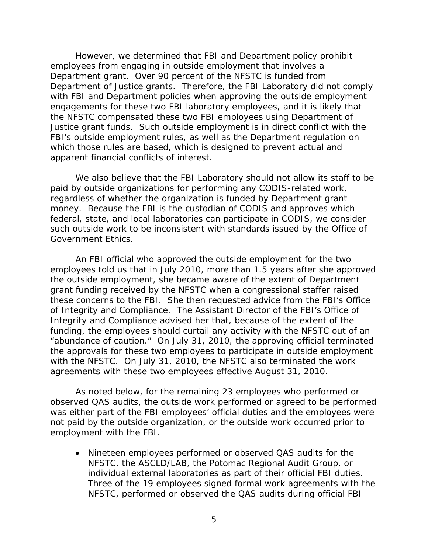However, we determined that FBI and Department policy prohibit employees from engaging in outside employment that involves a Department grant. Over 90 percent of the NFSTC is funded from Department of Justice grants. Therefore, the FBI Laboratory did not comply with FBI and Department policies when approving the outside employment engagements for these two FBI laboratory employees, and it is likely that the NFSTC compensated these two FBI employees using Department of Justice grant funds. Such outside employment is in direct conflict with the FBI's outside employment rules, as well as the Department regulation on which those rules are based, which is designed to prevent actual and apparent financial conflicts of interest.

We also believe that the FBI Laboratory should not allow its staff to be paid by outside organizations for performing any CODIS-related work, regardless of whether the organization is funded by Department grant money. Because the FBI is the custodian of CODIS and approves which federal, state, and local laboratories can participate in CODIS, we consider such outside work to be inconsistent with standards issued by the Office of Government Ethics.

An FBI official who approved the outside employment for the two employees told us that in July 2010, more than 1.5 years after she approved the outside employment, she became aware of the extent of Department grant funding received by the NFSTC when a congressional staffer raised these concerns to the FBI. She then requested advice from the FBI's Office of Integrity and Compliance. The Assistant Director of the FBI's Office of Integrity and Compliance advised her that, because of the extent of the funding, the employees should curtail any activity with the NFSTC out of an "abundance of caution." On July 31, 2010, the approving official terminated the approvals for these two employees to participate in outside employment with the NFSTC. On July 31, 2010, the NFSTC also terminated the work agreements with these two employees effective August 31, 2010.

As noted below, for the remaining 23 employees who performed or observed QAS audits, the outside work performed or agreed to be performed was either part of the FBI employees' official duties and the employees were not paid by the outside organization, or the outside work occurred prior to employment with the FBI.

 Nineteen employees performed or observed QAS audits for the NFSTC, the ASCLD/LAB, the Potomac Regional Audit Group, or individual external laboratories as part of their official FBI duties. Three of the 19 employees signed formal work agreements with the NFSTC, performed or observed the QAS audits during official FBI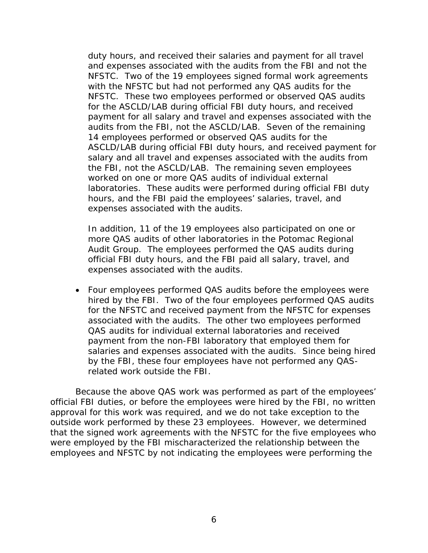duty hours, and received their salaries and payment for all travel and expenses associated with the audits from the FBI and not the NFSTC. Two of the 19 employees signed formal work agreements with the NFSTC but had not performed any QAS audits for the NFSTC. These two employees performed or observed QAS audits for the ASCLD/LAB during official FBI duty hours, and received payment for all salary and travel and expenses associated with the audits from the FBI, not the ASCLD/LAB. Seven of the remaining 14 employees performed or observed QAS audits for the ASCLD/LAB during official FBI duty hours, and received payment for salary and all travel and expenses associated with the audits from the FBI, not the ASCLD/LAB. The remaining seven employees worked on one or more QAS audits of individual external laboratories. These audits were performed during official FBI duty hours, and the FBI paid the employees' salaries, travel, and expenses associated with the audits.

In addition, 11 of the 19 employees also participated on one or more QAS audits of other laboratories in the Potomac Regional Audit Group. The employees performed the QAS audits during official FBI duty hours, and the FBI paid all salary, travel, and expenses associated with the audits.

 Four employees performed QAS audits before the employees were hired by the FBI. Two of the four employees performed QAS audits for the NFSTC and received payment from the NFSTC for expenses associated with the audits. The other two employees performed QAS audits for individual external laboratories and received payment from the non-FBI laboratory that employed them for salaries and expenses associated with the audits. Since being hired by the FBI, these four employees have not performed any QASrelated work outside the FBI.

Because the above QAS work was performed as part of the employees' official FBI duties, or before the employees were hired by the FBI, no written approval for this work was required, and we do not take exception to the outside work performed by these 23 employees. However, we determined that the signed work agreements with the NFSTC for the five employees who were employed by the FBI mischaracterized the relationship between the employees and NFSTC by not indicating the employees were performing the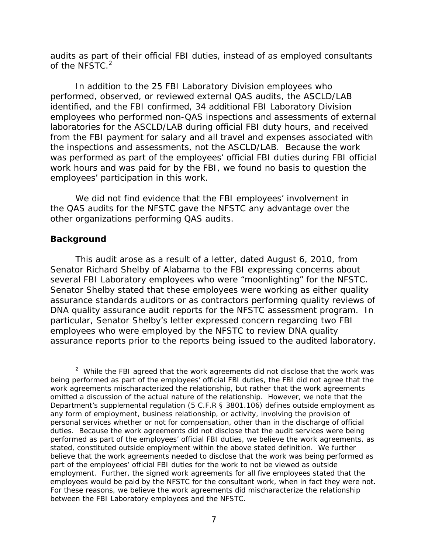<span id="page-8-0"></span>audits as part of their official FBI duties, instead of as employed consultants of the NFSTC.<sup>2</sup>

In addition to the 25 FBI Laboratory Division employees who performed, observed, or reviewed external QAS audits, the ASCLD/LAB identified, and the FBI confirmed, 34 additional FBI Laboratory Division employees who performed non-QAS inspections and assessments of external laboratories for the ASCLD/LAB during official FBI duty hours, and received from the FBI payment for salary and all travel and expenses associated with the inspections and assessments, not the ASCLD/LAB. Because the work was performed as part of the employees' official FBI duties during FBI official work hours and was paid for by the FBI, we found no basis to question the employees' participation in this work.

We did not find evidence that the FBI employees' involvement in the QAS audits for the NFSTC gave the NFSTC any advantage over the other organizations performing QAS audits.

### **Background**

 $\overline{a}$ 

This audit arose as a result of a letter, dated August 6, 2010, from Senator Richard Shelby of Alabama to the FBI expressing concerns about several FBI Laboratory employees who were "moonlighting" for the NFSTC. Senator Shelby stated that these employees were working as either quality assurance standards auditors or as contractors performing quality reviews of DNA quality assurance audit reports for the NFSTC assessment program. In particular, Senator Shelby's letter expressed concern regarding two FBI employees who were employed by the NFSTC to review DNA quality assurance reports prior to the reports being issued to the audited laboratory.

employees would be paid by the NFSTC for the consultant work, when in fact they were not. between the FBI Laboratory employees and the NFSTC.<br>7  $2$  While the FBI agreed that the work agreements did not disclose that the work was being performed as part of the employees' official FBI duties, the FBI did not agree that the work agreements mischaracterized the relationship, but rather that the work agreements omitted a discussion of the actual nature of the relationship. However, we note that the Department's supplemental regulation (5 C.F.R § 3801.106) defines outside employment as any form of employment, business relationship, or activity, involving the provision of personal services whether or not for compensation, other than in the discharge of official duties. Because the work agreements did not disclose that the audit services were being performed as part of the employees' official FBI duties, we believe the work agreements, as stated, constituted outside employment within the above stated definition. We further believe that the work agreements needed to disclose that the work was being performed as part of the employees' official FBI duties for the work to not be viewed as outside employment. Further, the signed work agreements for all five employees stated that the For these reasons, we believe the work agreements did mischaracterize the relationship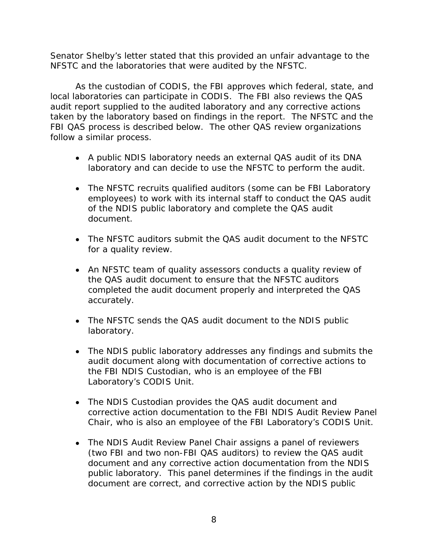Senator Shelby's letter stated that this provided an unfair advantage to the NFSTC and the laboratories that were audited by the NFSTC.

As the custodian of CODIS, the FBI approves which federal, state, and local laboratories can participate in CODIS. The FBI also reviews the QAS audit report supplied to the audited laboratory and any corrective actions taken by the laboratory based on findings in the report. The NFSTC and the FBI QAS process is described below. The other QAS review organizations follow a similar process.

- A public NDIS laboratory needs an external QAS audit of its DNA laboratory and can decide to use the NFSTC to perform the audit.
- The NFSTC recruits qualified auditors (some can be FBI Laboratory employees) to work with its internal staff to conduct the QAS audit of the NDIS public laboratory and complete the QAS audit document.
- The NFSTC auditors submit the QAS audit document to the NFSTC for a quality review.
- An NFSTC team of quality assessors conducts a quality review of the QAS audit document to ensure that the NFSTC auditors completed the audit document properly and interpreted the QAS accurately.
- The NFSTC sends the QAS audit document to the NDIS public laboratory.
- The NDIS public laboratory addresses any findings and submits the audit document along with documentation of corrective actions to the FBI NDIS Custodian, who is an employee of the FBI Laboratory's CODIS Unit.
- The NDIS Custodian provides the QAS audit document and corrective action documentation to the FBI NDIS Audit Review Panel Chair, who is also an employee of the FBI Laboratory's CODIS Unit.
- The NDIS Audit Review Panel Chair assigns a panel of reviewers (two FBI and two non-FBI QAS auditors) to review the QAS audit document and any corrective action documentation from the NDIS public laboratory. This panel determines if the findings in the audit document are correct, and corrective action by the NDIS public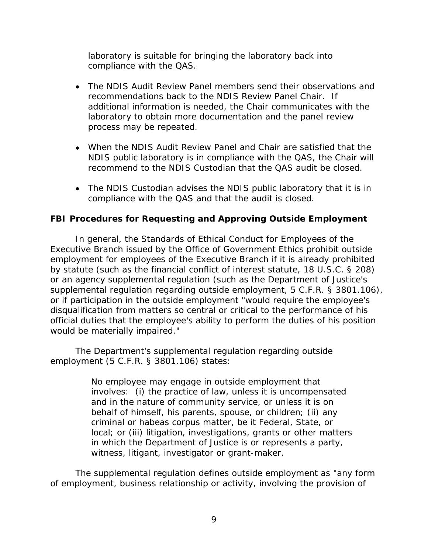<span id="page-10-0"></span>laboratory is suitable for bringing the laboratory back into compliance with the QAS.

- The NDIS Audit Review Panel members send their observations and recommendations back to the NDIS Review Panel Chair. If additional information is needed, the Chair communicates with the laboratory to obtain more documentation and the panel review process may be repeated.
- When the NDIS Audit Review Panel and Chair are satisfied that the NDIS public laboratory is in compliance with the QAS, the Chair will recommend to the NDIS Custodian that the QAS audit be closed.
- The NDIS Custodian advises the NDIS public laboratory that it is in compliance with the QAS and that the audit is closed.

### **FBI Procedures for Requesting and Approving Outside Employment**

In general, the Standards of Ethical Conduct for Employees of the Executive Branch issued by the Office of Government Ethics prohibit outside employment for employees of the Executive Branch if it is already prohibited by statute (such as the financial conflict of interest statute, 18 U.S.C. § 208) or an agency supplemental regulation (such as the Department of Justice's supplemental regulation regarding outside employment, 5 C.F.R. § 3801.106), or if participation in the outside employment "would require the employee's disqualification from matters so central or critical to the performance of his official duties that the employee's ability to perform the duties of his position would be materially impaired."

The Department's supplemental regulation regarding outside employment (5 C.F.R. § 3801.106) states:

> No employee may engage in outside employment that involves: (i) the practice of law, unless it is uncompensated and in the nature of community service, or unless it is on behalf of himself, his parents, spouse, or children; (ii) any criminal or habeas corpus matter, be it Federal, State, or local; or (iii) litigation, investigations, grants or other matters in which the Department of Justice is or represents a party, witness, litigant, investigator or grant-maker.

The supplemental regulation defines outside employment as "any form of employment, business relationship or activity, involving the provision of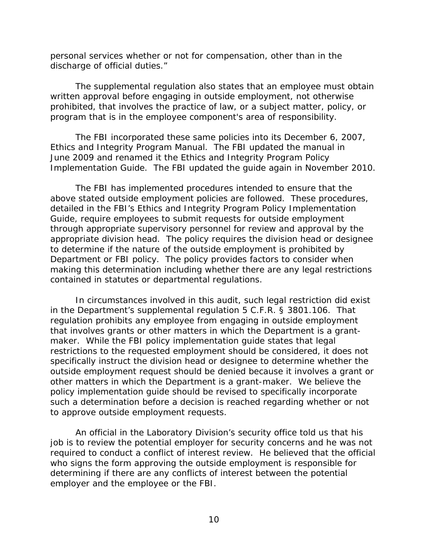personal services whether or not for compensation, other than in the discharge of official duties."

The supplemental regulation also states that an employee must obtain written approval before engaging in outside employment, not otherwise prohibited, that involves the practice of law, or a subject matter, policy, or program that is in the employee component's area of responsibility.

The FBI incorporated these same policies into its December 6, 2007, Ethics and Integrity Program Manual. The FBI updated the manual in June 2009 and renamed it the Ethics and Integrity Program Policy Implementation Guide. The FBI updated the guide again in November 2010.

The FBI has implemented procedures intended to ensure that the above stated outside employment policies are followed. These procedures, detailed in the FBI's Ethics and Integrity Program Policy Implementation Guide, require employees to submit requests for outside employment through appropriate supervisory personnel for review and approval by the appropriate division head. The policy requires the division head or designee to determine if the nature of the outside employment is prohibited by Department or FBI policy. The policy provides factors to consider when making this determination including whether there are any legal restrictions contained in statutes or departmental regulations.

In circumstances involved in this audit, such legal restriction did exist in the Department's supplemental regulation 5 C.F.R. § 3801.106. That regulation prohibits any employee from engaging in outside employment that involves grants or other matters in which the Department is a grantmaker. While the FBI policy implementation guide states that legal restrictions to the requested employment should be considered, it does not specifically instruct the division head or designee to determine whether the outside employment request should be denied because it involves a grant or other matters in which the Department is a grant-maker. We believe the policy implementation guide should be revised to specifically incorporate such a determination before a decision is reached regarding whether or not to approve outside employment requests.

An official in the Laboratory Division's security office told us that his job is to review the potential employer for security concerns and he was not required to conduct a conflict of interest review. He believed that the official who signs the form approving the outside employment is responsible for determining if there are any conflicts of interest between the potential employer and the employee or the FBI.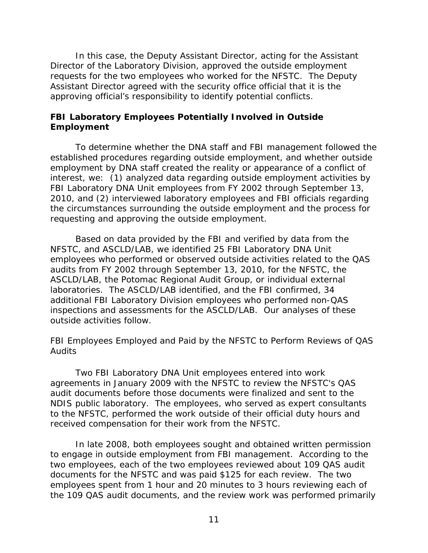<span id="page-12-0"></span>In this case, the Deputy Assistant Director, acting for the Assistant Director of the Laboratory Division, approved the outside employment requests for the two employees who worked for the NFSTC. The Deputy Assistant Director agreed with the security office official that it is the approving official's responsibility to identify potential conflicts.

### **FBI Laboratory Employees Potentially Involved in Outside Employment**

To determine whether the DNA staff and FBI management followed the established procedures regarding outside employment, and whether outside employment by DNA staff created the reality or appearance of a conflict of interest, we: (1) analyzed data regarding outside employment activities by FBI Laboratory DNA Unit employees from FY 2002 through September 13, 2010, and (2) interviewed laboratory employees and FBI officials regarding the circumstances surrounding the outside employment and the process for requesting and approving the outside employment.

Based on data provided by the FBI and verified by data from the NFSTC, and ASCLD/LAB, we identified 25 FBI Laboratory DNA Unit employees who performed or observed outside activities related to the QAS audits from FY 2002 through September 13, 2010, for the NFSTC, the ASCLD/LAB, the Potomac Regional Audit Group, or individual external laboratories. The ASCLD/LAB identified, and the FBI confirmed, 34 additional FBI Laboratory Division employees who performed non-QAS inspections and assessments for the ASCLD/LAB. Our analyses of these outside activities follow.

### *FBI Employees Employed and Paid by the NFSTC to Perform Reviews of QAS Audits*

Two FBI Laboratory DNA Unit employees entered into work agreements in January 2009 with the NFSTC to review the NFSTC's QAS audit documents before those documents were finalized and sent to the NDIS public laboratory. The employees, who served as expert consultants to the NFSTC, performed the work outside of their official duty hours and received compensation for their work from the NFSTC.

In late 2008, both employees sought and obtained written permission to engage in outside employment from FBI management. According to the two employees, each of the two employees reviewed about 109 QAS audit documents for the NFSTC and was paid \$125 for each review. The two employees spent from 1 hour and 20 minutes to 3 hours reviewing each of the 109 QAS audit documents, and the review work was performed primarily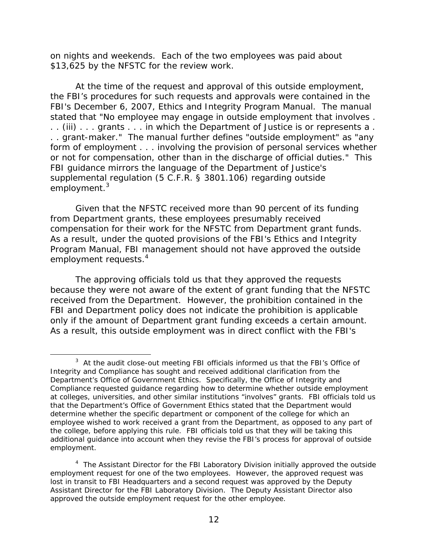on nights and weekends. Each of the two employees was paid about \$13,625 by the NFSTC for the review work.

At the time of the request and approval of this outside employment, the FBI's procedures for such requests and approvals were contained in the FBI's December 6, 2007, Ethics and Integrity Program Manual. The manual stated that "No employee may engage in outside employment that involves . . . (iii) . . . grants . . . in which the Department of Justice is or represents a . . . grant-maker." The manual further defines "outside employment" as "any form of employment . . . involving the provision of personal services whether or not for compensation, other than in the discharge of official duties." This FBI guidance mirrors the language of the Department of Justice's supplemental regulation (5 C.F.R. § 3801.106) regarding outside employment.<sup>3</sup>

employment requests.<sup>4</sup> Given that the NFSTC received more than 90 percent of its funding from Department grants, these employees presumably received compensation for their work for the NFSTC from Department grant funds. As a result, under the quoted provisions of the FBI's Ethics and Integrity Program Manual, FBI management should not have approved the outside

The approving officials told us that they approved the requests because they were not aware of the extent of grant funding that the NFSTC received from the Department. However, the prohibition contained in the FBI and Department policy does not indicate the prohibition is applicable only if the amount of Department grant funding exceeds a certain amount. As a result, this outside employment was in direct conflict with the FBI's

<u>.</u>

 $3$  At the audit close-out meeting FBI officials informed us that the FBI's Office of Integrity and Compliance has sought and received additional clarification from the Department's Office of Government Ethics. Specifically, the Office of Integrity and Compliance requested guidance regarding how to determine whether outside employment at colleges, universities, and other similar institutions "involves" grants. FBI officials told us that the Department's Office of Government Ethics stated that the Department would determine whether the specific department or component of the college for which an employee wished to work received a grant from the Department, as opposed to any part of the college, before applying this rule. FBI officials told us that they will be taking this additional guidance into account when they revise the FBI's process for approval of outside employment.

<sup>&</sup>lt;sup>4</sup> The Assistant Director for the FBI Laboratory Division initially approved the outside employment request for one of the two employees. However, the approved request was lost in transit to FBI Headquarters and a second request was approved by the Deputy Assistant Director for the FBI Laboratory Division. The Deputy Assistant Director also approved the outside employment request for the other employee.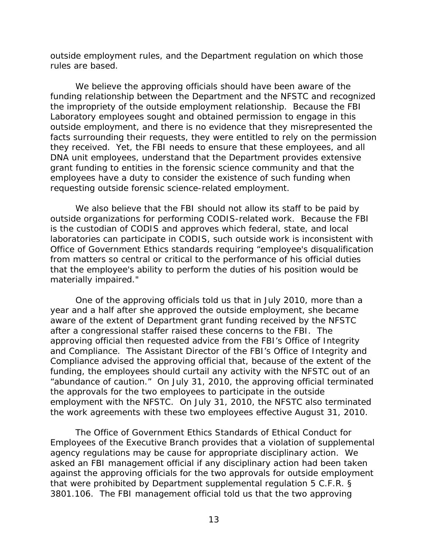outside employment rules, and the Department regulation on which those rules are based.

We believe the approving officials should have been aware of the funding relationship between the Department and the NFSTC and recognized the impropriety of the outside employment relationship. Because the FBI Laboratory employees sought and obtained permission to engage in this outside employment, and there is no evidence that they misrepresented the facts surrounding their requests, they were entitled to rely on the permission they received. Yet, the FBI needs to ensure that these employees, and all DNA unit employees, understand that the Department provides extensive grant funding to entities in the forensic science community and that the employees have a duty to consider the existence of such funding when requesting outside forensic science-related employment.

We also believe that the FBI should not allow its staff to be paid by outside organizations for performing CODIS-related work. Because the FBI is the custodian of CODIS and approves which federal, state, and local laboratories can participate in CODIS, such outside work is inconsistent with Office of Government Ethics standards requiring "employee's disqualification from matters so central or critical to the performance of his official duties that the employee's ability to perform the duties of his position would be materially impaired."

One of the approving officials told us that in July 2010, more than a year and a half after she approved the outside employment, she became aware of the extent of Department grant funding received by the NFSTC after a congressional staffer raised these concerns to the FBI. The approving official then requested advice from the FBI's Office of Integrity and Compliance. The Assistant Director of the FBI's Office of Integrity and Compliance advised the approving official that, because of the extent of the funding, the employees should curtail any activity with the NFSTC out of an "abundance of caution." On July 31, 2010, the approving official terminated the approvals for the two employees to participate in the outside employment with the NFSTC. On July 31, 2010, the NFSTC also terminated the work agreements with these two employees effective August 31, 2010.

The Office of Government Ethics Standards of Ethical Conduct for Employees of the Executive Branch provides that a violation of supplemental agency regulations may be cause for appropriate disciplinary action. We asked an FBI management official if any disciplinary action had been taken against the approving officials for the two approvals for outside employment that were prohibited by Department supplemental regulation 5 C.F.R. § 3801.106. The FBI management official told us that the two approving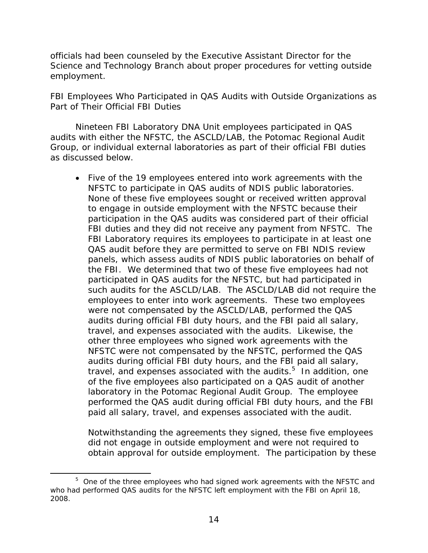<span id="page-15-0"></span>officials had been counseled by the Executive Assistant Director for the Science and Technology Branch about proper procedures for vetting outside employment.

### *FBI Employees Who Participated in QAS Audits with Outside Organizations as Part of Their Official FBI Duties*

Nineteen FBI Laboratory DNA Unit employees participated in QAS audits with either the NFSTC, the ASCLD/LAB, the Potomac Regional Audit Group, or individual external laboratories as part of their official FBI duties as discussed below.

 Five of the 19 employees entered into work agreements with the NFSTC to participate in QAS audits of NDIS public laboratories. None of these five employees sought or received written approval to engage in outside employment with the NFSTC because their participation in the QAS audits was considered part of their official FBI duties and they did not receive any payment from NFSTC. The FBI Laboratory requires its employees to participate in at least one QAS audit before they are permitted to serve on FBI NDIS review panels, which assess audits of NDIS public laboratories on behalf of the FBI. We determined that two of these five employees had not participated in QAS audits for the NFSTC, but had participated in such audits for the ASCLD/LAB. The ASCLD/LAB did not require the employees to enter into work agreements. These two employees were not compensated by the ASCLD/LAB, performed the QAS audits during official FBI duty hours, and the FBI paid all salary, travel, and expenses associated with the audits. Likewise, the other three employees who signed work agreements with the NFSTC were not compensated by the NFSTC, performed the QAS audits during official FBI duty hours, and the FBI paid all salary, travel, and expenses associated with the audits. $5$  In addition, one of the five employees also participated on a QAS audit of another laboratory in the Potomac Regional Audit Group. The employee performed the QAS audit during official FBI duty hours, and the FBI paid all salary, travel, and expenses associated with the audit.

Notwithstanding the agreements they signed, these five employees did not engage in outside employment and were not required to obtain approval for outside employment. The participation by these

 $\overline{a}$ 

<sup>&</sup>lt;sup>5</sup> One of the three employees who had signed work agreements with the NFSTC and who had performed QAS audits for the NFSTC left employment with the FBI on April 18, 2008.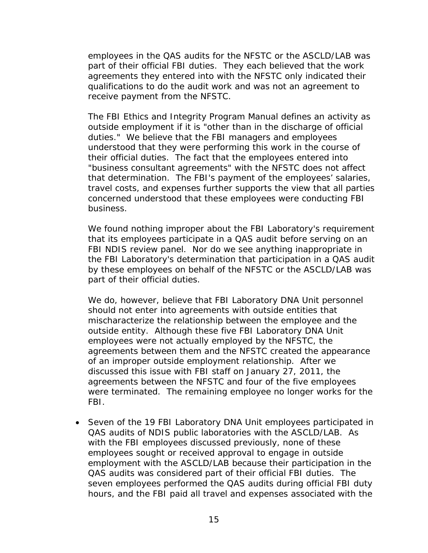employees in the QAS audits for the NFSTC or the ASCLD/LAB was part of their official FBI duties. They each believed that the work agreements they entered into with the NFSTC only indicated their qualifications to do the audit work and was not an agreement to receive payment from the NFSTC.

The FBI Ethics and Integrity Program Manual defines an activity as outside employment if it is "other than in the discharge of official duties." We believe that the FBI managers and employees understood that they were performing this work in the course of their official duties. The fact that the employees entered into "business consultant agreements" with the NFSTC does not affect that determination. The FBI's payment of the employees' salaries, travel costs, and expenses further supports the view that all parties concerned understood that these employees were conducting FBI business.

We found nothing improper about the FBI Laboratory's requirement that its employees participate in a QAS audit before serving on an FBI NDIS review panel. Nor do we see anything inappropriate in the FBI Laboratory's determination that participation in a QAS audit by these employees on behalf of the NFSTC or the ASCLD/LAB was part of their official duties.

We do, however, believe that FBI Laboratory DNA Unit personnel should not enter into agreements with outside entities that mischaracterize the relationship between the employee and the outside entity. Although these five FBI Laboratory DNA Unit employees were not actually employed by the NFSTC, the agreements between them and the NFSTC created the appearance of an improper outside employment relationship. After we discussed this issue with FBI staff on January 27, 2011, the agreements between the NFSTC and four of the five employees were terminated. The remaining employee no longer works for the FBI.

 Seven of the 19 FBI Laboratory DNA Unit employees participated in QAS audits of NDIS public laboratories with the ASCLD/LAB. As with the FBI employees discussed previously, none of these employees sought or received approval to engage in outside employment with the ASCLD/LAB because their participation in the QAS audits was considered part of their official FBI duties. The seven employees performed the QAS audits during official FBI duty hours, and the FBI paid all travel and expenses associated with the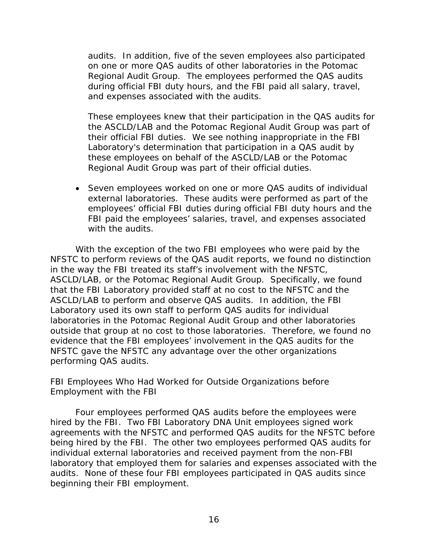<span id="page-17-0"></span>audits. In addition, five of the seven employees also participated on one or more QAS audits of other laboratories in the Potomac Regional Audit Group. The employees performed the QAS audits during official FBI duty hours, and the FBI paid all salary, travel, and expenses associated with the audits.

These employees knew that their participation in the QAS audits for the ASCLD/LAB and the Potomac Regional Audit Group was part of their official FBI duties. We see nothing inappropriate in the FBI Laboratory's determination that participation in a QAS audit by these employees on behalf of the ASCLD/LAB or the Potomac Regional Audit Group was part of their official duties.

 Seven employees worked on one or more QAS audits of individual external laboratories. These audits were performed as part of the employees' official FBI duties during official FBI duty hours and the FBI paid the employees' salaries, travel, and expenses associated with the audits.

With the exception of the two FBI employees who were paid by the NFSTC to perform reviews of the QAS audit reports, we found no distinction in the way the FBI treated its staff's involvement with the NFSTC, ASCLD/LAB, or the Potomac Regional Audit Group. Specifically, we found that the FBI Laboratory provided staff at no cost to the NFSTC and the ASCLD/LAB to perform and observe QAS audits. In addition, the FBI Laboratory used its own staff to perform QAS audits for individual laboratories in the Potomac Regional Audit Group and other laboratories outside that group at no cost to those laboratories. Therefore, we found no evidence that the FBI employees' involvement in the QAS audits for the NFSTC gave the NFSTC any advantage over the other organizations performing QAS audits.

### *FBI Employees Who Had Worked for Outside Organizations before Employment with the FBI*

Four employees performed QAS audits before the employees were hired by the FBI. Two FBI Laboratory DNA Unit employees signed work agreements with the NFSTC and performed QAS audits for the NFSTC before being hired by the FBI. The other two employees performed QAS audits for individual external laboratories and received payment from the non-FBI laboratory that employed them for salaries and expenses associated with the audits. None of these four FBI employees participated in QAS audits since beginning their FBI employment.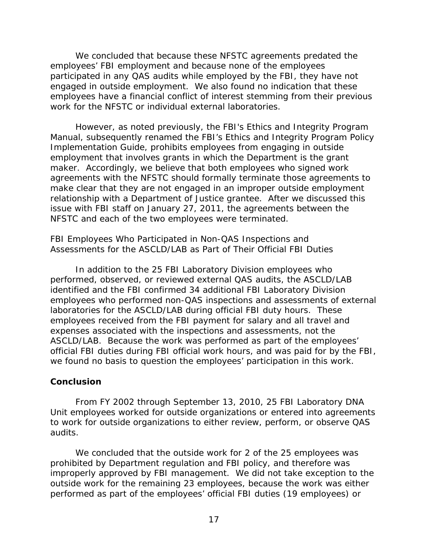<span id="page-18-0"></span>We concluded that because these NFSTC agreements predated the employees' FBI employment and because none of the employees participated in any QAS audits while employed by the FBI, they have not engaged in outside employment. We also found no indication that these employees have a financial conflict of interest stemming from their previous work for the NFSTC or individual external laboratories.

However, as noted previously, the FBI's Ethics and Integrity Program Manual, subsequently renamed the FBI's Ethics and Integrity Program Policy Implementation Guide, prohibits employees from engaging in outside employment that involves grants in which the Department is the grant maker. Accordingly, we believe that both employees who signed work agreements with the NFSTC should formally terminate those agreements to make clear that they are not engaged in an improper outside employment relationship with a Department of Justice grantee. After we discussed this issue with FBI staff on January 27, 2011, the agreements between the NFSTC and each of the two employees were terminated.

### *FBI Employees Who Participated in Non-QAS Inspections and Assessments for the ASCLD/LAB as Part of Their Official FBI Duties*

In addition to the 25 FBI Laboratory Division employees who performed, observed, or reviewed external QAS audits, the ASCLD/LAB identified and the FBI confirmed 34 additional FBI Laboratory Division employees who performed non-QAS inspections and assessments of external laboratories for the ASCLD/LAB during official FBI duty hours. These employees received from the FBI payment for salary and all travel and expenses associated with the inspections and assessments, not the ASCLD/LAB. Because the work was performed as part of the employees' official FBI duties during FBI official work hours, and was paid for by the FBI, we found no basis to question the employees' participation in this work.

### **Conclusion**

From FY 2002 through September 13, 2010, 25 FBI Laboratory DNA Unit employees worked for outside organizations or entered into agreements to work for outside organizations to either review, perform, or observe QAS audits.

We concluded that the outside work for 2 of the 25 employees was prohibited by Department regulation and FBI policy, and therefore was improperly approved by FBI management. We did not take exception to the outside work for the remaining 23 employees, because the work was either performed as part of the employees' official FBI duties (19 employees) or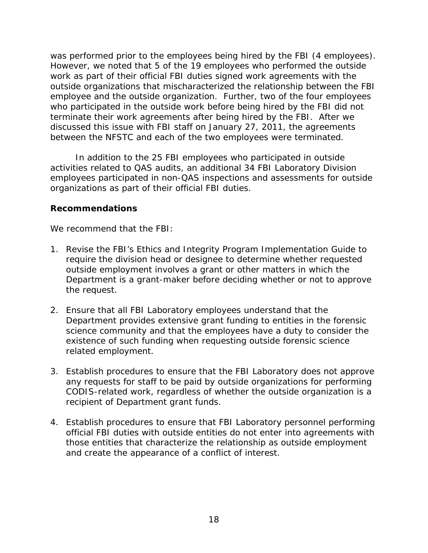<span id="page-19-0"></span>was performed prior to the employees being hired by the FBI (4 employees). However, we noted that 5 of the 19 employees who performed the outside work as part of their official FBI duties signed work agreements with the outside organizations that mischaracterized the relationship between the FBI employee and the outside organization. Further, two of the four employees who participated in the outside work before being hired by the FBI did not terminate their work agreements after being hired by the FBI. After we discussed this issue with FBI staff on January 27, 2011, the agreements between the NFSTC and each of the two employees were terminated.

In addition to the 25 FBI employees who participated in outside activities related to QAS audits, an additional 34 FBI Laboratory Division employees participated in non-QAS inspections and assessments for outside organizations as part of their official FBI duties.

### **Recommendations**

We recommend that the FBI:

- 1. Revise the FBI's Ethics and Integrity Program Implementation Guide to require the division head or designee to determine whether requested outside employment involves a grant or other matters in which the Department is a grant-maker before deciding whether or not to approve the request.
- 2. Ensure that all FBI Laboratory employees understand that the Department provides extensive grant funding to entities in the forensic science community and that the employees have a duty to consider the existence of such funding when requesting outside forensic science related employment.
- 3. Establish procedures to ensure that the FBI Laboratory does not approve any requests for staff to be paid by outside organizations for performing CODIS-related work, regardless of whether the outside organization is a recipient of Department grant funds.
- 4. Establish procedures to ensure that FBI Laboratory personnel performing official FBI duties with outside entities do not enter into agreements with those entities that characterize the relationship as outside employment and create the appearance of a conflict of interest.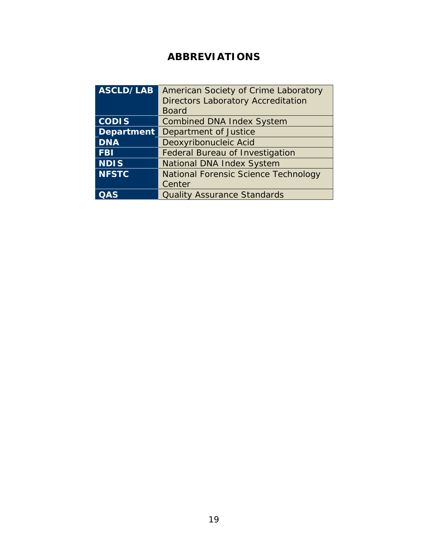# **ABBREVIATIONS**

| <b>ASCLD/LAB</b>  | American Society of Crime Laboratory        |
|-------------------|---------------------------------------------|
|                   | <b>Directors Laboratory Accreditation</b>   |
|                   | <b>Board</b>                                |
| <b>CODIS</b>      | <b>Combined DNA Index System</b>            |
| <b>Department</b> | Department of Justice                       |
| <b>DNA</b>        | Deoxyribonucleic Acid                       |
| <b>FBI</b>        | <b>Federal Bureau of Investigation</b>      |
| <b>NDIS</b>       | National DNA Index System                   |
| <b>NFSTC</b>      | <b>National Forensic Science Technology</b> |
|                   | Center                                      |
|                   | <b>Quality Assurance Standards</b>          |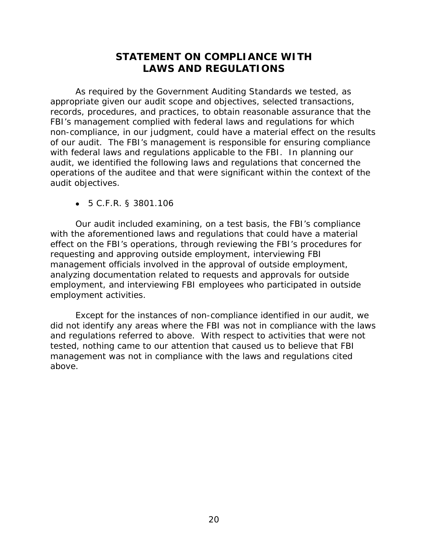# **STATEMENT ON COMPLIANCE WITH LAWS AND REGULATIONS**

<span id="page-21-0"></span>As required by the *Government Auditing Standards* we tested, as appropriate given our audit scope and objectives, selected transactions, records, procedures, and practices, to obtain reasonable assurance that the FBI's management complied with federal laws and regulations for which non-compliance, in our judgment, could have a material effect on the results of our audit. The FBI's management is responsible for ensuring compliance with federal laws and regulations applicable to the FBI. In planning our audit, we identified the following laws and regulations that concerned the operations of the auditee and that were significant within the context of the audit objectives.

5 C.F.R. § 3801.106

Our audit included examining, on a test basis, the FBI's compliance with the aforementioned laws and regulations that could have a material effect on the FBI's operations, through reviewing the FBI's procedures for requesting and approving outside employment, interviewing FBI management officials involved in the approval of outside employment, analyzing documentation related to requests and approvals for outside employment, and interviewing FBI employees who participated in outside employment activities.

Except for the instances of non-compliance identified in our audit, we did not identify any areas where the FBI was not in compliance with the laws and regulations referred to above. With respect to activities that were not tested, nothing came to our attention that caused us to believe that FBI management was not in compliance with the laws and regulations cited above.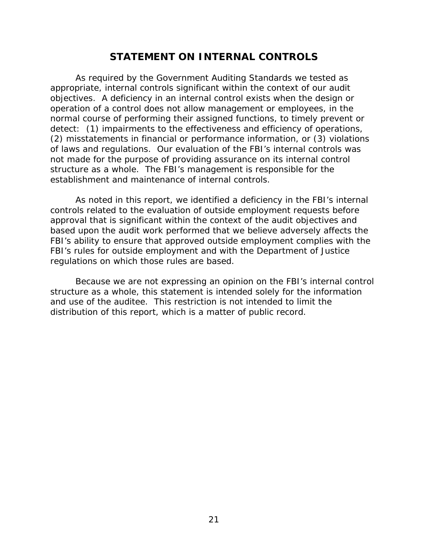### **STATEMENT ON INTERNAL CONTROLS**

<span id="page-22-0"></span>As required by the *Government Auditing Standards* we tested as appropriate, internal controls significant within the context of our audit objectives. A deficiency in an internal control exists when the design or operation of a control does not allow management or employees, in the normal course of performing their assigned functions, to timely prevent or detect: (1) impairments to the effectiveness and efficiency of operations, (2) misstatements in financial or performance information, or (3) violations of laws and regulations. Our evaluation of the FBI's internal controls was *not* made for the purpose of providing assurance on its internal control structure as a whole. The FBI's management is responsible for the establishment and maintenance of internal controls.

As noted in this report, we identified a deficiency in the FBI's internal controls related to the evaluation of outside employment requests before approval that is significant within the context of the audit objectives and based upon the audit work performed that we believe adversely affects the FBI's ability to ensure that approved outside employment complies with the FBI's rules for outside employment and with the Department of Justice regulations on which those rules are based.

Because we are not expressing an opinion on the FBI's internal control structure as a whole, this statement is intended solely for the information and use of the auditee. This restriction is not intended to limit the distribution of this report, which is a matter of public record.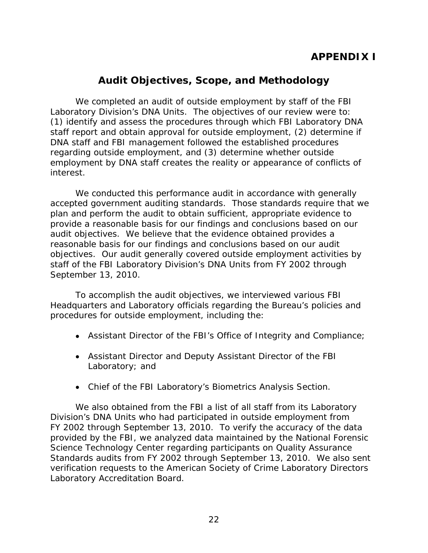# **APPENDIX I**

## **Audit Objectives, Scope, and Methodology**

<span id="page-23-0"></span>We completed an audit of outside employment by staff of the FBI Laboratory Division's DNA Units. The objectives of our review were to: (1) identify and assess the procedures through which FBI Laboratory DNA staff report and obtain approval for outside employment, (2) determine if DNA staff and FBI management followed the established procedures regarding outside employment, and (3) determine whether outside employment by DNA staff creates the reality or appearance of conflicts of interest.

We conducted this performance audit in accordance with generally accepted government auditing standards. Those standards require that we plan and perform the audit to obtain sufficient, appropriate evidence to provide a reasonable basis for our findings and conclusions based on our audit objectives. We believe that the evidence obtained provides a reasonable basis for our findings and conclusions based on our audit objectives. Our audit generally covered outside employment activities by staff of the FBI Laboratory Division's DNA Units from FY 2002 through September 13, 2010.

To accomplish the audit objectives, we interviewed various FBI Headquarters and Laboratory officials regarding the Bureau's policies and procedures for outside employment, including the:

- Assistant Director of the FBI's Office of Integrity and Compliance;
- Assistant Director and Deputy Assistant Director of the FBI Laboratory; and
- Chief of the FBI Laboratory's Biometrics Analysis Section.

We also obtained from the FBI a list of all staff from its Laboratory Division's DNA Units who had participated in outside employment from FY 2002 through September 13, 2010. To verify the accuracy of the data provided by the FBI, we analyzed data maintained by the National Forensic Science Technology Center regarding participants on Quality Assurance Standards audits from FY 2002 through September 13, 2010. We also sent verification requests to the American Society of Crime Laboratory Directors Laboratory Accreditation Board.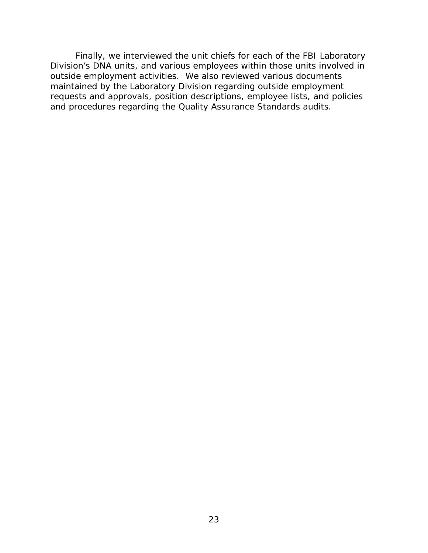Finally, we interviewed the unit chiefs for each of the FBI Laboratory Division's DNA units, and various employees within those units involved in outside employment activities. We also reviewed various documents maintained by the Laboratory Division regarding outside employment requests and approvals, position descriptions, employee lists, and policies and procedures regarding the Quality Assurance Standards audits.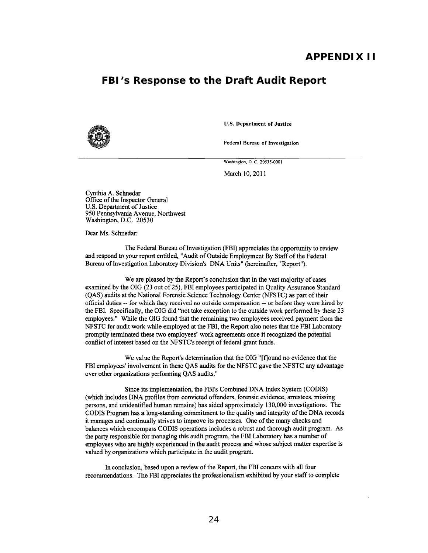### **APPENDIX II**

### **FBI's Response to the Draft Audit Report**



U.S. Department of Justice

**Federal Bureau of Investigation** 

Washington. D. C. 20535-0001

March 10,2011

Cynthia A. Schnedar Office of the Inspector General U.S. Department of Justice 950 Pennsylvania Avenue, Northwest Washington, D.C. 20530

Dear Ms. Schnedar:

The Federal Bureau of Investigation (FBI) appreciates the opportunity to review and respond to your report entitled, "Audit of Outside Employment By Staff of the Federal Bureau of Investigation Laboratory Division's DNA Units" (hereinafter, "Report").

We are pleased by the Report's conclusion that in the vast majority of cases examined by the OIG (23 out of 25), FBI employees participated in Quality Assurance Standard (QAS) audits at the National Forensic Science Technology Center (NFSTC) as part of their **official duties --** for which they received no outside compensation -- or before they were hired by the FBI. Specifically, the OIG did "not take exception to the outside work performed by these 23 employees." While the OIG found that the remaining two employees received payment from the NFSTC for audit work while employed at the FBI, the Report also notes that the FBI Laboratory promptly terminated these two employees' work agreements once it recognized the potential conflict of interest based on the NFSTC's receipt of federal grant funds.

We value the Report's determination that the OIG "[f]ound no evidence that the FBI employees' involvement in these QAS audits for the NFSTC gave the NFSTC any advantage over other organizations performing QAS audits."

Since its implementation, the FBI's Combined DNA Index System (CODIS) (which includes DNA profiles from convicted offenders, forensic evidence, arrestees, missing persons, and unidentified human remains) has aided approximately 130,000 investigations. The CODIS Program has a long-standing commitment to the quality and integrity of the DNA records it manages and continually strives to improve its processes. One of the many checks and balances which encompass CODIS operations includes a robust and thorough audit program. As the party responsible for managing this audit program, the FBI Laboratory has a number of employees who are highly experienced in the audit process and whose subject matter expertise is valued by organizations which participate in the audit program.

In conclusion, based upon a review of the Report, the FBI concurs with all four recommendations. The FBI appreciates the professionalism exhibited by your staff to complete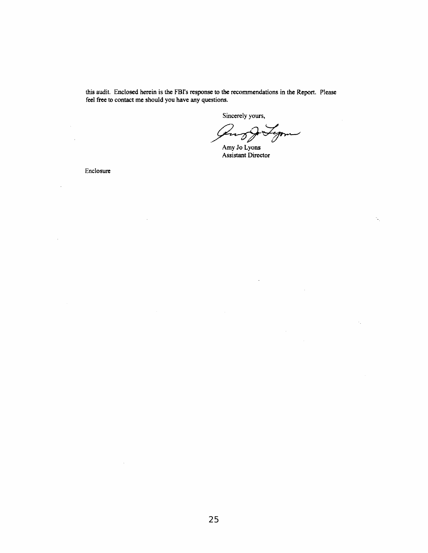this audit. Enclosed herein is the FBI's response to the recommendations in the Report. Please feel free to contact me should you have any questions.

Sincerely yours,

سىس Lu

Ÿ.

Amy Jo Lyons Assistant Director

Enclosure

 $\ddot{\phantom{a}}$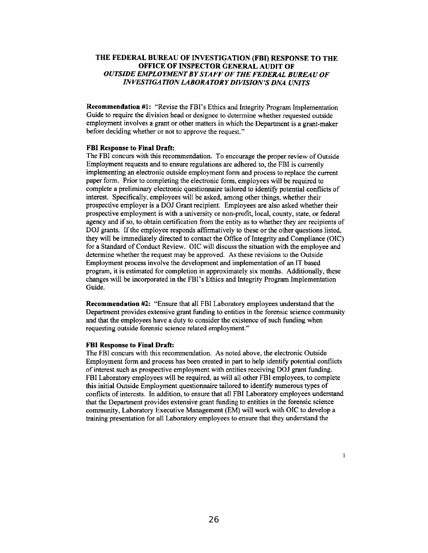#### THE FEDERAL BUREAU OF INVESTIGATION (FBI) RESPONSE TO THE OFFICE OF INSPECTOR GENERAL AUDIT OF *OUTSIDE EMPLOYMENT BY STAFF OF THE FEDERAL BUREAU OF INVESTIGATION LABORATORY DIVISION'S DNA UNITS*

Recommendation #1: "Revise the FBI's Ethics and Integrity Program Implementation Guide to require the division head or designee to determine whether requested outside employment involves a grant or other matters in which the Department is a grant-maker before deciding whether or not to approve the request."

#### FBI Response to Final Draft:

The FBI concurs with this recommendation. To encourage the proper review of Outside Employment requests and to ensure regulations are adhered to, the FBI is currently implementing an electronic outside employment form and process to replace the current paper form. Prior to completing the electronic form, employees will be required to complete a preliminary electronic questionnaire tailored to identify potential conflicts of interest. Specifically, employees will be asked, among other things, whether their prospective employer is a DO] Grant recipient. Employees are also asked whether their prospective employment is with a university or non-profit, local, county, state, or federal agency and if so, to obtain certification from the entity as to whether they are recipients of DO] grants. If the employee responds affirmatively to these or the other questions listed, they will be immediately directed to contact the Office of Integrity and Compliance (OIC) for a Standard of Conduct Review. OIC will discuss the situation with the employee and determine whether the request may be approved. As these revisions to the Outside Employment process involve the development and implementation of an IT based program, it is estimated for completion in approximately six months. Additionally, these changes will be incorporated in the FBI's Ethics and Integrity Program Implementation Guide.

Recommendation #2: "Ensure that all FBI Laboratory employees understand that the Department provides extensive grant funding to entities in the forensic science community and that the employees have a duty to consider the existence of such funding when requesting outside forensic science related employment."

#### FBI Response to Final Draft:

The FBI concurs with this recommendation. As noted above, the electronic Outside Employment form and process has been created in part to help identify potential conflicts of interest such as prospective employment with entities receiving DO] grant funding. FBI Laboratory employees will be required, as will all other FBI employees, to complete this initial Outside Employment questionnaire tailored to identify numerous types of conflicts of interests. In addition, to ensure that all FBI Laboratory employees understand that the Department provides extensive grant funding to entities in the forensic science community, Laboratory Executive Management (EM) will work with OIC to develop a training presentation for all Laboratory employees to ensure that they understand the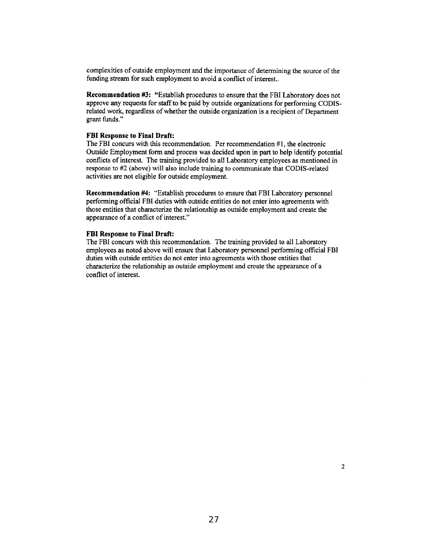complexities of outside employment and the importance of determining the source of the funding stream for such employment to avoid a conflict of interest..

Recommendation #3: "Establish procedures to ensure that the FBI Laboratory does not approve any requests for staff to be paid by outside organizations for performing CODISrelated work, regardless of whether the outside organization is a recipient of Department grant funds."

#### **FBI** Response to Final Draft:

The FBI concurs with this recommendation. Per recommendation  $#1$ , the electronic Outside Employment form and process was decided upon in part to help identify potential conflicts of interest. The training provided to all Laboratory employees as mentioned in response to #2 (above) will also include training to communicate that CODIS-related activities are not eligible for outside employment.

Recommendation #4: "Establish procedures to ensure that FBI Laboratory personnel performing official FBI duties with outside entities do not enter into agreements with those entities that characterize the relationship as outside employment and create the appearance of a conflict of interest."

#### **FBI** Response to Final Draft:

The FBI concurs with this recommendation. The training provided to all Laboratory employees as noted above will ensure that Laboratory personnel performing official FBI duties with outside entities do not enter into agreements with those entities that characterize the relationship as outside employment and create the appearance of a conflict of interest.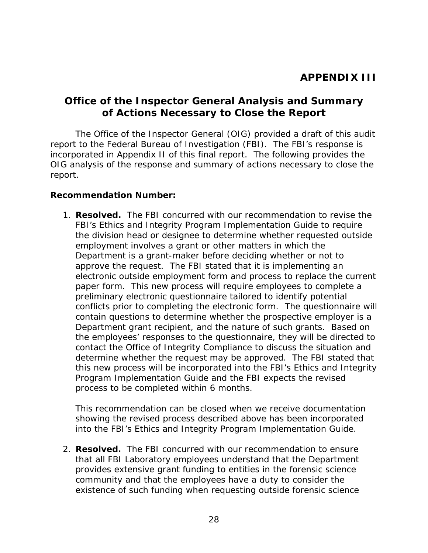### <span id="page-29-0"></span>**Office of the Inspector General Analysis and Summary of Actions Necessary to Close the Report**

The Office of the Inspector General (OIG) provided a draft of this audit report to the Federal Bureau of Investigation (FBI). The FBI's response is incorporated in Appendix II of this final report. The following provides the OIG analysis of the response and summary of actions necessary to close the report.

### **Recommendation Number:**

1. **Resolved.** The FBI concurred with our recommendation to revise the FBI's Ethics and Integrity Program Implementation Guide to require the division head or designee to determine whether requested outside employment involves a grant or other matters in which the Department is a grant-maker before deciding whether or not to approve the request. The FBI stated that it is implementing an electronic outside employment form and process to replace the current paper form. This new process will require employees to complete a preliminary electronic questionnaire tailored to identify potential conflicts prior to completing the electronic form. The questionnaire will contain questions to determine whether the prospective employer is a Department grant recipient, and the nature of such grants. Based on the employees' responses to the questionnaire, they will be directed to contact the Office of Integrity Compliance to discuss the situation and determine whether the request may be approved. The FBI stated that this new process will be incorporated into the FBI's Ethics and Integrity Program Implementation Guide and the FBI expects the revised process to be completed within 6 months.

This recommendation can be closed when we receive documentation showing the revised process described above has been incorporated into the FBI's Ethics and Integrity Program Implementation Guide.

2. **Resolved.** The FBI concurred with our recommendation to ensure that all FBI Laboratory employees understand that the Department provides extensive grant funding to entities in the forensic science community and that the employees have a duty to consider the existence of such funding when requesting outside forensic science